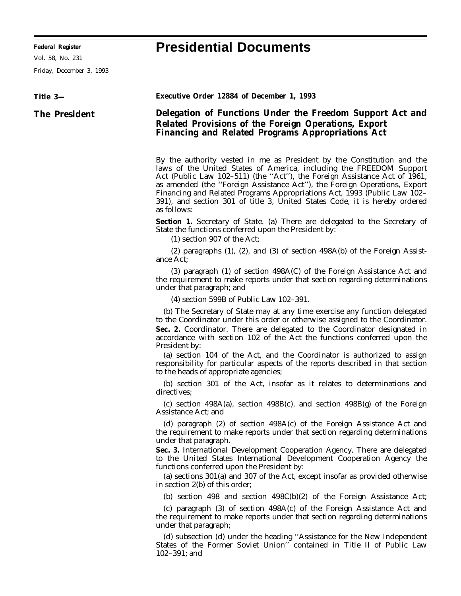Friday, December 3, 1993

| Title 3-             | Executive Order 12884 of December 1, 1993                                                                                                                                                                                                                                                                                                                                                                                                                                                                                                  |
|----------------------|--------------------------------------------------------------------------------------------------------------------------------------------------------------------------------------------------------------------------------------------------------------------------------------------------------------------------------------------------------------------------------------------------------------------------------------------------------------------------------------------------------------------------------------------|
| <b>The President</b> | Delegation of Functions Under the Freedom Support Act and<br>Related Provisions of the Foreign Operations, Export<br><b>Financing and Related Programs Appropriations Act</b>                                                                                                                                                                                                                                                                                                                                                              |
|                      | By the authority vested in me as President by the Constitution and the<br>laws of the United States of America, including the FREEDOM Support<br>Act (Public Law 102-511) (the "Act"), the Foreign Assistance Act of 1961,<br>as amended (the "Foreign Assistance Act"), the Foreign Operations, Export<br>Financing and Related Programs Appropriations Act, 1993 (Public Law 102–<br>391), and section 301 of title 3, United States Code, it is hereby ordered<br>as follows:                                                           |
|                      | <b>Section 1.</b> Secretary of State. (a) There are delegated to the Secretary of<br>State the functions conferred upon the President by:<br>(1) section 907 of the Act;                                                                                                                                                                                                                                                                                                                                                                   |
|                      | $(2)$ paragraphs $(1)$ , $(2)$ , and $(3)$ of section 498A $(b)$ of the Foreign Assist-<br>ance Act;                                                                                                                                                                                                                                                                                                                                                                                                                                       |
|                      | (3) paragraph (1) of section 498A(C) of the Foreign Assistance Act and<br>the requirement to make reports under that section regarding determinations<br>under that paragraph; and                                                                                                                                                                                                                                                                                                                                                         |
|                      | $(4)$ section 599B of Public Law 102-391.                                                                                                                                                                                                                                                                                                                                                                                                                                                                                                  |
|                      | (b) The Secretary of State may at any time exercise any function delegated<br>to the Coordinator under this order or otherwise assigned to the Coordinator.<br>Sec. 2. Coordinator. There are delegated to the Coordinator designated in<br>accordance with section 102 of the Act the functions conferred upon the<br>President by:<br>(a) section 104 of the Act, and the Coordinator is authorized to assign<br>responsibility for particular aspects of the reports described in that section<br>to the heads of appropriate agencies; |
|                      | (b) section 301 of the Act, insofar as it relates to determinations and<br>directives;                                                                                                                                                                                                                                                                                                                                                                                                                                                     |
|                      | (c) section $498A(a)$ , section $498B(c)$ , and section $498B(g)$ of the Foreign<br>Assistance Act; and                                                                                                                                                                                                                                                                                                                                                                                                                                    |
|                      | (d) paragraph (2) of section 498A(c) of the Foreign Assistance Act and<br>the requirement to make reports under that section regarding determinations<br>under that paragraph.<br>Sec. 3. International Development Cooperation Agency. There are delegated<br>to the United States International Development Cooperation Agency the<br>functions conferred upon the President by:                                                                                                                                                         |
|                      | (a) sections 301(a) and 307 of the Act, except insofar as provided otherwise<br>in section $2(b)$ of this order;                                                                                                                                                                                                                                                                                                                                                                                                                           |
|                      | (b) section 498 and section 498C(b)(2) of the Foreign Assistance Act;                                                                                                                                                                                                                                                                                                                                                                                                                                                                      |
|                      | (c) paragraph (3) of section 498A(c) of the Foreign Assistance Act and<br>the requirement to make reports under that section regarding determinations<br>under that paragraph;                                                                                                                                                                                                                                                                                                                                                             |
|                      | (d) subsection (d) under the heading "Assistance for the New Independent<br>States of the Former Soviet Union" contained in Title II of Public Law<br>$102 - 391$ ; and                                                                                                                                                                                                                                                                                                                                                                    |